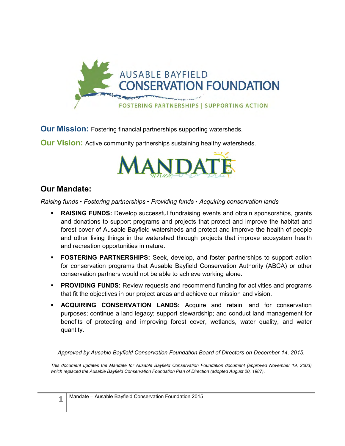

**Our Mission:** Fostering financial partnerships supporting watersheds.

**Our Vision:** Active community partnerships sustaining healthy watersheds.



### **Our Mandate:**

*Raising funds • Fostering partnerships • Providing funds • Acquiring conservation lands* 

- **RAISING FUNDS:** Develop successful fundraising events and obtain sponsorships, grants and donations to support programs and projects that protect and improve the habitat and forest cover of Ausable Bayfield watersheds and protect and improve the health of people and other living things in the watershed through projects that improve ecosystem health and recreation opportunities in nature.
- **FOSTERING PARTNERSHIPS:** Seek, develop, and foster partnerships to support action for conservation programs that Ausable Bayfield Conservation Authority (ABCA) or other conservation partners would not be able to achieve working alone.
- **PROVIDING FUNDS:** Review requests and recommend funding for activities and programs that fit the objectives in our project areas and achieve our mission and vision.
- **ACQUIRING CONSERVATION LANDS:** Acquire and retain land for conservation purposes; continue a land legacy; support stewardship; and conduct land management for benefits of protecting and improving forest cover, wetlands, water quality, and water quantity.

*Approved by Ausable Bayfield Conservation Foundation Board of Directors on December 14, 2015.* 

This document updates the Mandate for Ausable Bayfield Conservation Foundation document (approved November 19, 2003) *which replaced the Ausable Bayfield Conservation Foundation Plan of Direction (adopted August 20, 1987)*.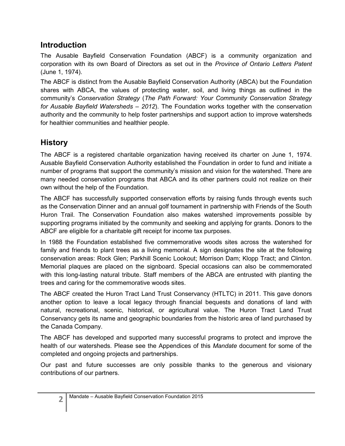## **Introduction**

The Ausable Bayfield Conservation Foundation (ABCF) is a community organization and corporation with its own Board of Directors as set out in the *Province of Ontario Letters Patent* (June 1, 1974).

The ABCF is distinct from the Ausable Bayfield Conservation Authority (ABCA) but the Foundation shares with ABCA, the values of protecting water, soil, and living things as outlined in the community's *Conservation Strategy* (*The Path Forward: Your Community Conservation Strategy for Ausable Bayfield Watersheds – 2012*). The Foundation works together with the conservation authority and the community to help foster partnerships and support action to improve watersheds for healthier communities and healthier people.

# **History**

The ABCF is a registered charitable organization having received its charter on June 1, 1974. Ausable Bayfield Conservation Authority established the Foundation in order to fund and initiate a number of programs that support the community's mission and vision for the watershed. There are many needed conservation programs that ABCA and its other partners could not realize on their own without the help of the Foundation.

The ABCF has successfully supported conservation efforts by raising funds through events such as the Conservation Dinner and an annual golf tournament in partnership with Friends of the South Huron Trail. The Conservation Foundation also makes watershed improvements possible by supporting programs initiated by the community and seeking and applying for grants. Donors to the ABCF are eligible for a charitable gift receipt for income tax purposes.

In 1988 the Foundation established five commemorative woods sites across the watershed for family and friends to plant trees as a living memorial. A sign designates the site at the following conservation areas: Rock Glen; Parkhill Scenic Lookout; Morrison Dam; Klopp Tract; and Clinton. Memorial plaques are placed on the signboard. Special occasions can also be commemorated with this long-lasting natural tribute. Staff members of the ABCA are entrusted with planting the trees and caring for the commemorative woods sites.

The ABCF created the Huron Tract Land Trust Conservancy (HTLTC) in 2011. This gave donors another option to leave a local legacy through financial bequests and donations of land with natural, recreational, scenic, historical, or agricultural value. The Huron Tract Land Trust Conservancy gets its name and geographic boundaries from the historic area of land purchased by the Canada Company.

The ABCF has developed and supported many successful programs to protect and improve the health of our watersheds. Please see the Appendices of this *Mandate* document for some of the completed and ongoing projects and partnerships.

Our past and future successes are only possible thanks to the generous and visionary contributions of our partners.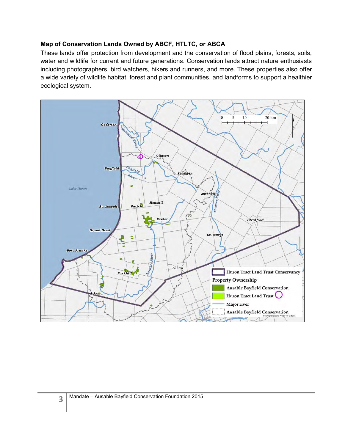#### **Map of Conservation Lands Owned by ABCF, HTLTC, or ABCA**

These lands offer protection from development and the conservation of flood plains, forests, soils, water and wildlife for current and future generations. Conservation lands attract nature enthusiasts including photographers, bird watchers, hikers and runners, and more. These properties also offer a wide variety of wildlife habitat, forest and plant communities, and landforms to support a healthier ecological system.

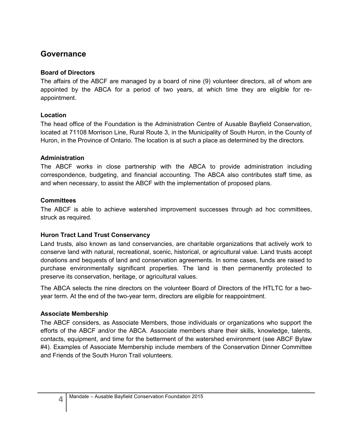## **Governance**

#### **Board of Directors**

The affairs of the ABCF are managed by a board of nine (9) volunteer directors, all of whom are appointed by the ABCA for a period of two years, at which time they are eligible for reappointment.

#### **Location**

The head office of the Foundation is the Administration Centre of Ausable Bayfield Conservation, located at 71108 Morrison Line, Rural Route 3, in the Municipality of South Huron, in the County of Huron, in the Province of Ontario. The location is at such a place as determined by the directors.

### **Administration**

The ABCF works in close partnership with the ABCA to provide administration including correspondence, budgeting, and financial accounting. The ABCA also contributes staff time, as and when necessary, to assist the ABCF with the implementation of proposed plans.

#### **Committees**

The ABCF is able to achieve watershed improvement successes through ad hoc committees, struck as required.

### **Huron Tract Land Trust Conservancy**

Land trusts, also known as land conservancies, are charitable organizations that actively work to conserve land with natural, recreational, scenic, historical, or agricultural value. Land trusts accept donations and bequests of land and conservation agreements. In some cases, funds are raised to purchase environmentally significant properties. The land is then permanently protected to preserve its conservation, heritage, or agricultural values.

The ABCA selects the nine directors on the volunteer Board of Directors of the HTLTC for a twoyear term. At the end of the two-year term, directors are eligible for reappointment.

### **Associate Membership**

The ABCF considers, as Associate Members, those individuals or organizations who support the efforts of the ABCF and/or the ABCA. Associate members share their skills, knowledge, talents, contacts, equipment, and time for the betterment of the watershed environment (see ABCF Bylaw #4). Examples of Associate Membership include members of the Conservation Dinner Committee and Friends of the South Huron Trail volunteers.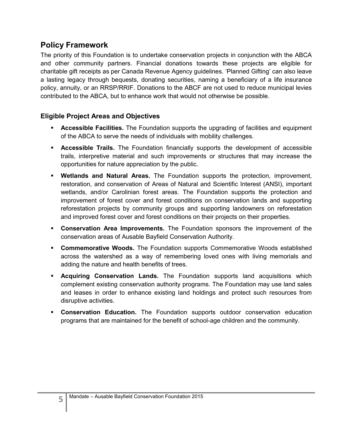## **Policy Framework**

The priority of this Foundation is to undertake conservation projects in conjunction with the ABCA and other community partners. Financial donations towards these projects are eligible for charitable gift receipts as per Canada Revenue Agency guidelines. 'Planned Gifting' can also leave a lasting legacy through bequests, donating securities, naming a beneficiary of a life insurance policy, annuity, or an RRSP/RRIF. Donations to the ABCF are not used to reduce municipal levies contributed to the ABCA, but to enhance work that would not otherwise be possible.

### **Eligible Project Areas and Objectives**

- **Accessible Facilities.** The Foundation supports the upgrading of facilities and equipment of the ABCA to serve the needs of individuals with mobility challenges.
- **Accessible Trails.** The Foundation financially supports the development of accessible trails, interpretive material and such improvements or structures that may increase the opportunities for nature appreciation by the public.
- **Wetlands and Natural Areas.** The Foundation supports the protection, improvement, restoration, and conservation of Areas of Natural and Scientific Interest (ANSI), important wetlands, and/or Carolinian forest areas. The Foundation supports the protection and improvement of forest cover and forest conditions on conservation lands and supporting reforestation projects by community groups and supporting landowners on reforestation and improved forest cover and forest conditions on their projects on their properties.
- **Conservation Area Improvements.** The Foundation sponsors the improvement of the conservation areas of Ausable Bayfield Conservation Authority.
- **Commemorative Woods.** The Foundation supports Commemorative Woods established across the watershed as a way of remembering loved ones with living memorials and adding the nature and health benefits of trees.
- **Acquiring Conservation Lands.** The Foundation supports land acquisitions which complement existing conservation authority programs. The Foundation may use land sales and leases in order to enhance existing land holdings and protect such resources from disruptive activities.
- **Conservation Education.** The Foundation supports outdoor conservation education programs that are maintained for the benefit of school-age children and the community.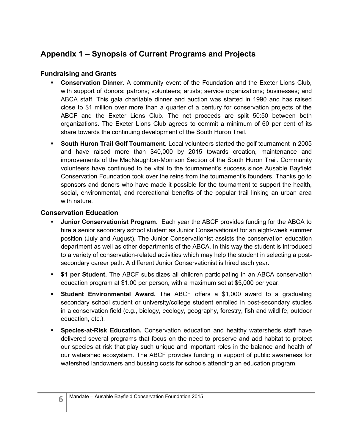# **Appendix 1 – Synopsis of Current Programs and Projects**

### **Fundraising and Grants**

- **Conservation Dinner.** A community event of the Foundation and the Exeter Lions Club, with support of donors; patrons; volunteers; artists; service organizations; businesses; and ABCA staff. This gala charitable dinner and auction was started in 1990 and has raised close to \$1 million over more than a quarter of a century for conservation projects of the ABCF and the Exeter Lions Club. The net proceeds are split 50:50 between both organizations. The Exeter Lions Club agrees to commit a minimum of 60 per cent of its share towards the continuing development of the South Huron Trail.
- **South Huron Trail Golf Tournament.** Local volunteers started the golf tournament in 2005 and have raised more than \$40,000 by 2015 towards creation, maintenance and improvements of the MacNaughton-Morrison Section of the South Huron Trail. Community volunteers have continued to be vital to the tournament's success since Ausable Bayfield Conservation Foundation took over the reins from the tournament's founders. Thanks go to sponsors and donors who have made it possible for the tournament to support the health, social, environmental, and recreational benefits of the popular trail linking an urban area with nature.

### **Conservation Education**

- **Junior Conservationist Program.** Each year the ABCF provides funding for the ABCA to hire a senior secondary school student as Junior Conservationist for an eight-week summer position (July and August). The Junior Conservationist assists the conservation education department as well as other departments of the ABCA. In this way the student is introduced to a variety of conservation-related activities which may help the student in selecting a postsecondary career path. A different Junior Conservationist is hired each year.
- **\$1 per Student.** The ABCF subsidizes all children participating in an ABCA conservation education program at \$1.00 per person, with a maximum set at \$5,000 per year.
- **Student Environmental Award.** The ABCF offers a \$1,000 award to a graduating secondary school student or university/college student enrolled in post-secondary studies in a conservation field (e.g., biology, ecology, geography, forestry, fish and wildlife, outdoor education, etc.).
- **Species-at-Risk Education.** Conservation education and healthy watersheds staff have delivered several programs that focus on the need to preserve and add habitat to protect our species at risk that play such unique and important roles in the balance and health of our watershed ecosystem. The ABCF provides funding in support of public awareness for watershed landowners and bussing costs for schools attending an education program.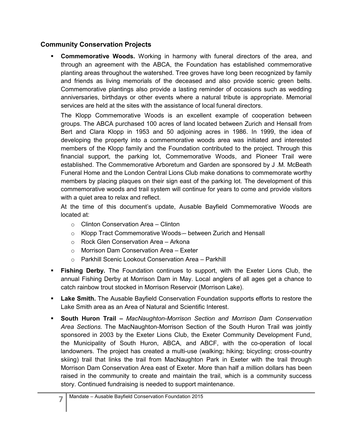### **Community Conservation Projects**

 **Commemorative Woods.** Working in harmony with funeral directors of the area, and through an agreement with the ABCA, the Foundation has established commemorative planting areas throughout the watershed. Tree groves have long been recognized by family and friends as living memorials of the deceased and also provide scenic green belts. Commemorative plantings also provide a lasting reminder of occasions such as wedding anniversaries, birthdays or other events where a natural tribute is appropriate. Memorial services are held at the sites with the assistance of local funeral directors.

The Klopp Commemorative Woods is an excellent example of cooperation between groups. The ABCA purchased 100 acres of land located between Zurich and Hensall from Bert and Clara Klopp in 1953 and 50 adjoining acres in 1986. In 1999, the idea of developing the property into a commemorative woods area was initiated and interested members of the Klopp family and the Foundation contributed to the project. Through this financial support, the parking lot, Commemorative Woods, and Pioneer Trail were established. The Commemorative Arboretum and Garden are sponsored by J .M. McBeath Funeral Home and the London Central Lions Club make donations to commemorate worthy members by placing plaques on their sign east of the parking lot. The development of this commemorative woods and trail system will continue for years to come and provide visitors with a quiet area to relax and reflect.

At the time of this document's update, Ausable Bayfield Commemorative Woods are located at:

- o Clinton Conservation Area Clinton
- o Klopp Tract Commemorative Woods between Zurich and Hensall
- o Rock Glen Conservation Area Arkona
- o Morrison Dam Conservation Area Exeter
- o Parkhill Scenic Lookout Conservation Area Parkhill
- **Fishing Derby.** The Foundation continues to support, with the Exeter Lions Club, the annual Fishing Derby at Morrison Dam in May. Local anglers of all ages get a chance to catch rainbow trout stocked in Morrison Reservoir (Morrison Lake).
- **Lake Smith.** The Ausable Bayfield Conservation Foundation supports efforts to restore the Lake Smith area as an Area of Natural and Scientific Interest.
- **South Huron Trail** *MacNaughton-Morrison Section and Morrison Dam Conservation Area Sections.* The MacNaughton-Morrison Section of the South Huron Trail was jointly sponsored in 2003 by the Exeter Lions Club, the Exeter Community Development Fund, the Municipality of South Huron, ABCA, and ABCF, with the co-operation of local landowners. The project has created a multi-use (walking; hiking; bicycling; cross-country skiing) trail that links the trail from MacNaughton Park in Exeter with the trail through Morrison Dam Conservation Area east of Exeter. More than half a million dollars has been raised in the community to create and maintain the trail, which is a community success story. Continued fundraising is needed to support maintenance.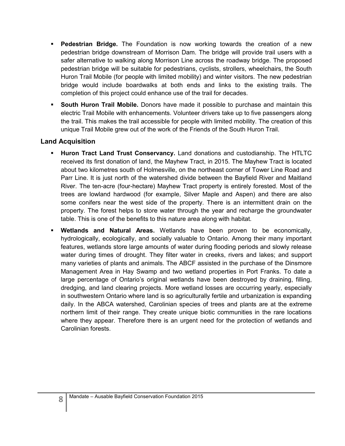- **Pedestrian Bridge.** The Foundation is now working towards the creation of a new pedestrian bridge downstream of Morrison Dam. The bridge will provide trail users with a safer alternative to walking along Morrison Line across the roadway bridge. The proposed pedestrian bridge will be suitable for pedestrians, cyclists, strollers, wheelchairs, the South Huron Trail Mobile (for people with limited mobility) and winter visitors. The new pedestrian bridge would include boardwalks at both ends and links to the existing trails. The completion of this project could enhance use of the trail for decades.
- **South Huron Trail Mobile.** Donors have made it possible to purchase and maintain this electric Trail Mobile with enhancements. Volunteer drivers take up to five passengers along the trail. This makes the trail accessible for people with limited mobility. The creation of this unique Trail Mobile grew out of the work of the Friends of the South Huron Trail.

#### **Land Acquisition**

- **Huron Tract Land Trust Conservancy.** Land donations and custodianship. The HTLTC received its first donation of land, the Mayhew Tract, in 2015. The Mayhew Tract is located about two kilometres south of Holmesville, on the northeast corner of Tower Line Road and Parr Line. It is just north of the watershed divide between the Bayfield River and Maitland River. The ten-acre (four-hectare) Mayhew Tract property is entirely forested. Most of the trees are lowland hardwood (for example, Silver Maple and Aspen) and there are also some conifers near the west side of the property. There is an intermittent drain on the property. The forest helps to store water through the year and recharge the groundwater table. This is one of the benefits to this nature area along with habitat.
- **Wetlands and Natural Areas.** Wetlands have been proven to be economically, hydrologically, ecologically, and socially valuable to Ontario. Among their many important features, wetlands store large amounts of water during flooding periods and slowly release water during times of drought. They filter water in creeks, rivers and lakes; and support many varieties of plants and animals. The ABCF assisted in the purchase of the Dinsmore Management Area in Hay Swamp and two wetland properties in Port Franks. To date a large percentage of Ontario's original wetlands have been destroyed by draining, filling, dredging, and land clearing projects. More wetland losses are occurring yearly, especially in southwestern Ontario where land is so agriculturally fertile and urbanization is expanding daily. In the ABCA watershed, Carolinian species of trees and plants are at the extreme northern limit of their range. They create unique biotic communities in the rare locations where they appear. Therefore there is an urgent need for the protection of wetlands and Carolinian forests.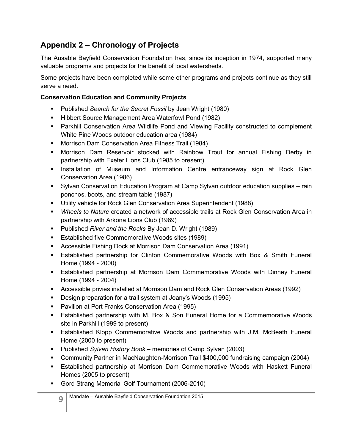# **Appendix 2 – Chronology of Projects**

The Ausable Bayfield Conservation Foundation has, since its inception in 1974, supported many valuable programs and projects for the benefit of local watersheds.

Some projects have been completed while some other programs and projects continue as they still serve a need.

### **Conservation Education and Community Projects**

- Published *Search for the Secret Fossil* by Jean Wright (1980)
- **Hibbert Source Management Area Waterfowl Pond (1982)**
- Parkhill Conservation Area Wildlife Pond and Viewing Facility constructed to complement White Pine Woods outdoor education area (1984)
- **Morrison Dam Conservation Area Fitness Trail (1984)**
- Morrison Dam Reservoir stocked with Rainbow Trout for annual Fishing Derby in partnership with Exeter Lions Club (1985 to present)
- **Installation of Museum and Information Centre entranceway sign at Rock Glen** Conservation Area (1986)
- Sylvan Conservation Education Program at Camp Sylvan outdoor education supplies rain ponchos, boots, and stream table (1987)
- Utility vehicle for Rock Glen Conservation Area Superintendent (1988)
- *Wheels to Nature* created a network of accessible trails at Rock Glen Conservation Area in partnership with Arkona Lions Club (1989)
- Published *River and the Rocks* By Jean D. Wright (1989)
- **E** Established five Commemorative Woods sites (1989)
- Accessible Fishing Dock at Morrison Dam Conservation Area (1991)
- Established partnership for Clinton Commemorative Woods with Box & Smith Funeral Home (1994 - 2000)
- Established partnership at Morrison Dam Commemorative Woods with Dinney Funeral Home (1994 - 2004)
- Accessible privies installed at Morrison Dam and Rock Glen Conservation Areas (1992)
- **Design preparation for a trail system at Joany's Woods (1995)**
- **Pavilion at Port Franks Conservation Area (1995)**
- Established partnership with M. Box & Son Funeral Home for a Commemorative Woods site in Parkhill (1999 to present)
- Established Klopp Commemorative Woods and partnership with J.M. McBeath Funeral Home (2000 to present)
- Published *Sylvan History Book* memories of Camp Sylvan (2003)
- Community Partner in MacNaughton-Morrison Trail \$400,000 fundraising campaign (2004)
- Established partnership at Morrison Dam Commemorative Woods with Haskett Funeral Homes (2005 to present)
- Gord Strang Memorial Golf Tournament (2006-2010)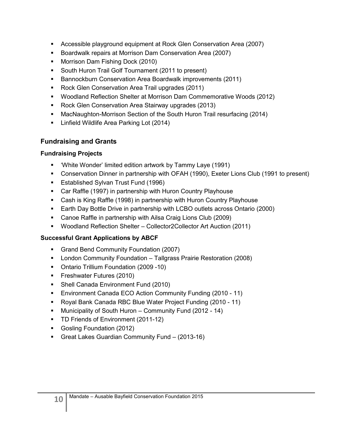- Accessible playground equipment at Rock Glen Conservation Area (2007)
- Boardwalk repairs at Morrison Dam Conservation Area (2007)
- **Morrison Dam Fishing Dock (2010)**
- **South Huron Trail Golf Tournament (2011 to present)**
- **Bannockburn Conservation Area Boardwalk improvements (2011)**
- Rock Glen Conservation Area Trail upgrades (2011)
- Woodland Reflection Shelter at Morrison Dam Commemorative Woods (2012)
- **Rock Glen Conservation Area Stairway upgrades (2013)**
- MacNaughton-Morrison Section of the South Huron Trail resurfacing (2014)
- **E** Linfield Wildlife Area Parking Lot (2014)

## **Fundraising and Grants**

### **Fundraising Projects**

- 'White Wonder' limited edition artwork by Tammy Laye (1991)
- Conservation Dinner in partnership with OFAH (1990), Exeter Lions Club (1991 to present)
- **Established Sylvan Trust Fund (1996)**
- Car Raffle (1997) in partnership with Huron Country Playhouse
- Cash is King Raffle (1998) in partnership with Huron Country Playhouse
- Earth Day Bottle Drive in partnership with LCBO outlets across Ontario (2000)
- Canoe Raffle in partnership with Ailsa Craig Lions Club (2009)
- Woodland Reflection Shelter Collector2Collector Art Auction (2011)

## **Successful Grant Applications by ABCF**

- Grand Bend Community Foundation (2007)
- **EXECT** London Community Foundation Tallgrass Prairie Restoration (2008)
- Ontario Trillium Foundation (2009 -10)
- **Filter Futures (2010)**
- **Shell Canada Environment Fund (2010)**
- Environment Canada ECO Action Community Funding (2010 11)
- Royal Bank Canada RBC Blue Water Project Funding (2010 11)
- Municipality of South Huron Community Fund (2012 14)
- **TD Friends of Environment (2011-12)**
- Gosling Foundation (2012)
- Great Lakes Guardian Community Fund (2013-16)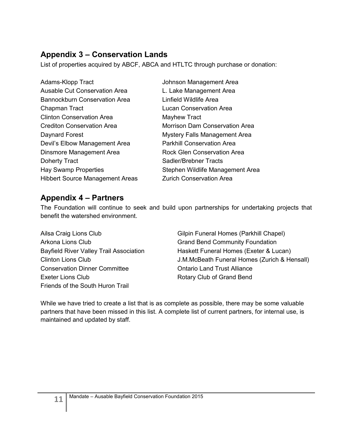# **Appendix 3 – Conservation Lands**

List of properties acquired by ABCF, ABCA and HTLTC through purchase or donation:

| Adams-Klopp Tract                      | Johnson Management Area               |
|----------------------------------------|---------------------------------------|
| Ausable Cut Conservation Area          | L. Lake Management Area               |
| <b>Bannockburn Conservation Area</b>   | Linfield Wildlife Area                |
| Chapman Tract                          | Lucan Conservation Area               |
| <b>Clinton Conservation Area</b>       | Mayhew Tract                          |
| <b>Crediton Conservation Area</b>      | <b>Morrison Dam Conservation Area</b> |
| Daynard Forest                         | <b>Mystery Falls Management Area</b>  |
| Devil's Elbow Management Area          | <b>Parkhill Conservation Area</b>     |
| Dinsmore Management Area               | Rock Glen Conservation Area           |
| Doherty Tract                          | <b>Sadler/Brebner Tracts</b>          |
| <b>Hay Swamp Properties</b>            | Stephen Wildlife Management Area      |
| <b>Hibbert Source Management Areas</b> | <b>Zurich Conservation Area</b>       |

## **Appendix 4 – Partners**

The Foundation will continue to seek and build upon partnerships for undertaking projects that benefit the watershed environment.

Ailsa Craig Lions Club Arkona Lions Club Bayfield River Valley Trail Association Clinton Lions Club Conservation Dinner Committee Exeter Lions Club Friends of the South Huron Trail

Gilpin Funeral Homes (Parkhill Chapel) Grand Bend Community Foundation Haskett Funeral Homes (Exeter & Lucan) J.M.McBeath Funeral Homes (Zurich & Hensall) Ontario Land Trust Alliance Rotary Club of Grand Bend

While we have tried to create a list that is as complete as possible, there may be some valuable partners that have been missed in this list. A complete list of current partners, for internal use, is maintained and updated by staff.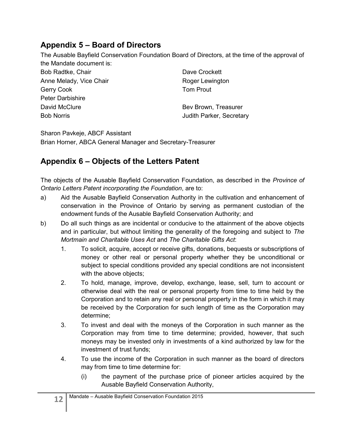## **Appendix 5 – Board of Directors**

The Ausable Bayfield Conservation Foundation Board of Directors, at the time of the approval of the Mandate document is:

| Bob Radtke, Chair       | Dave Crockett            |
|-------------------------|--------------------------|
| Anne Melady, Vice Chair | Roger Lewington          |
| Gerry Cook              | <b>Tom Prout</b>         |
| <b>Peter Darbishire</b> |                          |
| David McClure           | Bev Brown, Treasurer     |
| <b>Bob Norris</b>       | Judith Parker, Secretary |
|                         |                          |

Sharon Pavkeje, ABCF Assistant Brian Horner, ABCA General Manager and Secretary-Treasurer

# **Appendix 6 – Objects of the Letters Patent**

The objects of the Ausable Bayfield Conservation Foundation, as described in the *Province of Ontario Letters Patent incorporating the Foundation*, are to:

- a) Aid the Ausable Bayfield Conservation Authority in the cultivation and enhancement of conservation in the Province of Ontario by serving as permanent custodian of the endowment funds of the Ausable Bayfield Conservation Authority; and
- b) Do all such things as are incidental or conducive to the attainment of the above objects and in particular, but without limiting the generality of the foregoing and subject to *The Mortmain and Charitable Uses Act* and *The Charitable Gifts Act*:
	- 1. To solicit, acquire, accept or receive gifts, donations, bequests or subscriptions of money or other real or personal property whether they be unconditional or subject to special conditions provided any special conditions are not inconsistent with the above objects;
	- 2. To hold, manage, improve, develop, exchange, lease, sell, turn to account or otherwise deal with the real or personal property from time to time held by the Corporation and to retain any real or personal property in the form in which it may be received by the Corporation for such length of time as the Corporation may determine;
	- 3. To invest and deal with the moneys of the Corporation in such manner as the Corporation may from time to time determine; provided, however, that such moneys may be invested only in investments of a kind authorized by law for the investment of trust funds;
	- 4. To use the income of the Corporation in such manner as the board of directors may from time to time determine for:
		- (i) the payment of the purchase price of pioneer articles acquired by the Ausable Bayfield Conservation Authority,